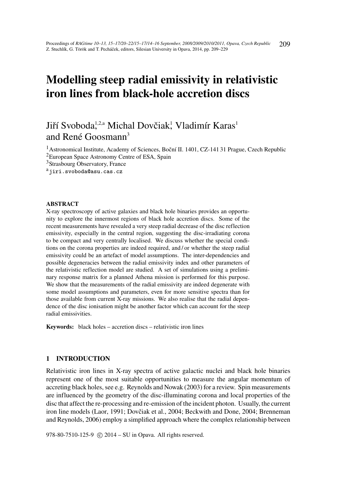# Modelling steep radial emissivity in relativistic iron lines from black-hole accretion discs

# Jiří Svoboda<sup>1,2,a</sup> Michal Dovčiak,<sup>1</sup> Vladimír Karas<sup>1</sup> and René Goosmann<sup>3</sup>

<sup>1</sup>Astronomical Institute, Academy of Sciences, Boční II. 1401, CZ-141 31 Prague, Czech Republic

<sup>2</sup>European Space Astronomy Centre of ESA, Spain

<sup>3</sup>Strasbourg Observatory, France

<sup>a</sup>jiri.svoboda@asu.cas.cz

#### ABSTRACT

X-ray spectroscopy of active galaxies and black hole binaries provides an opportunity to explore the innermost regions of black hole accretion discs. Some of the recent measurements have revealed a very steep radial decrease of the disc reflection emissivity, especially in the central region, suggesting the disc-irradiating corona to be compact and very centrally localised. We discuss whether the special conditions on the corona properties are indeed required, and / or whether the steep radial emissivity could be an artefact of model assumptions. The inter-dependencies and possible degeneracies between the radial emissivity index and other parameters of the relativistic reflection model are studied. A set of simulations using a preliminary response matrix for a planned Athena mission is performed for this purpose. We show that the measurements of the radial emissivity are indeed degenerate with some model assumptions and parameters, even for more sensitive spectra than for those available from current X-ray missions. We also realise that the radial dependence of the disc ionisation might be another factor which can account for the steep radial emissivities.

Keywords: black holes – accretion discs – relativistic iron lines

# 1 INTRODUCTION

Relativistic iron lines in X-ray spectra of active galactic nuclei and black hole binaries represent one of the most suitable opportunities to measure the angular momentum of accreting black holes, see e.g. Reynolds and Nowak (2003) for a review. Spin measurements are influenced by the geometry of the disc-illuminating corona and local properties of the disc that affect the re-processing and re-emission of the incident photon. Usually, the current iron line models (Laor, 1991; Dovčiak et al., 2004; Beckwith and Done, 2004; Brenneman and Reynolds, 2006) employ a simplified approach where the complex relationship between

978-80-7510-125-9 (c) 2014 – SU in Opava. All rights reserved.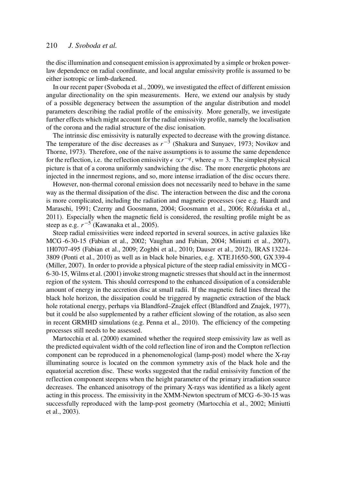the disc illumination and consequent emission is approximated by a simple or broken powerlaw dependence on radial coordinate, and local angular emissivity profile is assumed to be either isotropic or limb-darkened.

In our recent paper (Svoboda et al., 2009), we investigated the effect of different emission angular directionality on the spin measurements. Here, we extend our analysis by study of a possible degeneracy between the assumption of the angular distribution and model parameters describing the radial profile of the emissivity. More generally, we investigate further effects which might account for the radial emissivity profile, namely the localisation of the corona and the radial structure of the disc ionisation.

The intrinsic disc emissivity is naturally expected to decrease with the growing distance. The temperature of the disc decreases as  $r^{-3}$  (Shakura and Sunyaev, 1973; Novikov and Thorne, 1973). Therefore, one of the naive assumptions is to assume the same dependence for the reflection, i.e. the reflection emissivity  $\epsilon \propto r^{-q}$ , where  $q = 3$ . The simplest physical picture is that of a corona uniformly sandwiching the disc. The more energetic photons are injected in the innermost regions, and so, more intense irradiation of the disc occurs there.

However, non-thermal coronal emission does not necessarily need to behave in the same way as the thermal dissipation of the disc. The interaction between the disc and the corona is more complicated, including the radiation and magnetic processes (see e.g. Haardt and Maraschi, 1991; Czerny and Goosmann, 2004; Goosmann et al., 2006; Różańska et al., 2011). Especially when the magnetic field is considered, the resulting profile might be as steep as e.g.  $r^{-5}$  (Kawanaka et al., 2005).

Steep radial emissivities were indeed reported in several sources, in active galaxies like MCG -6-30-15 (Fabian et al., 2002; Vaughan and Fabian, 2004; Miniutti et al., 2007), 1H0707-495 (Fabian et al., 2009; Zoghbi et al., 2010; Dauser et al., 2012), IRAS 13224- 3809 (Ponti et al., 2010) as well as in black hole binaries, e.g. XTE J1650-500, GX 339-4 (Miller, 2007). In order to provide a physical picture of the steep radial emissivity in MCG - 6-30-15, Wilms et al. (2001) invoke strong magnetic stresses that should act in the innermost region of the system. This should correspond to the enhanced dissipation of a considerable amount of energy in the accretion disc at small radii. If the magnetic field lines thread the black hole horizon, the dissipation could be triggered by magnetic extraction of the black hole rotational energy, perhaps via Blandford–Znajek effect (Blandford and Znajek, 1977), but it could be also supplemented by a rather efficient slowing of the rotation, as also seen in recent GRMHD simulations (e.g. Penna et al., 2010). The efficiency of the competing processes still needs to be assessed.

Martocchia et al. (2000) examined whether the required steep emissivity law as well as the predicted equivalent width of the cold reflection line of iron and the Compton reflection component can be reproduced in a phenomenological (lamp-post) model where the X-ray illuminating source is located on the common symmetry axis of the black hole and the equatorial accretion disc. These works suggested that the radial emissivity function of the reflection component steepens when the height parameter of the primary irradiation source decreases. The enhanced anisotropy of the primary X-rays was identified as a likely agent acting in this process. The emissivity in the XMM-Newton spectrum of MCG -6-30-15 was successfully reproduced with the lamp-post geometry (Martocchia et al., 2002; Miniutti et al., 2003).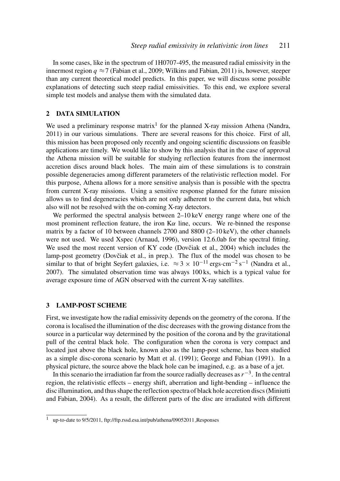In some cases, like in the spectrum of 1H0707-495, the measured radial emissivity in the innermost region  $q \approx 7$  (Fabian et al., 2009; Wilkins and Fabian, 2011) is, however, steeper than any current theoretical model predicts. In this paper, we will discuss some possible explanations of detecting such steep radial emissivities. To this end, we explore several simple test models and analyse them with the simulated data.

#### 2 DATA SIMULATION

We used a preliminary response matrix<sup>1</sup> for the planned X-ray mission Athena (Nandra, 2011) in our various simulations. There are several reasons for this choice. First of all, this mission has been proposed only recently and ongoing scientific discussions on feasible applications are timely. We would like to show by this analysis that in the case of approval the Athena mission will be suitable for studying reflection features from the innermost accretion discs around black holes. The main aim of these simulations is to constrain possible degeneracies among different parameters of the relativistic reflection model. For this purpose, Athena allows for a more sensitive analysis than is possible with the spectra from current X-ray missions. Using a sensitive response planned for the future mission allows us to find degeneracies which are not only adherent to the current data, but which also will not be resolved with the on-coming X-ray detectors.

We performed the spectral analysis between 2–10 keV energy range where one of the most prominent reflection feature, the iron  $K\alpha$  line, occurs. We re-binned the response matrix by a factor of 10 between channels 2700 and 8800 (2–10 keV), the other channels were not used. We used Xspec (Arnaud, 1996), version 12.6.0ab for the spectral fitting. We used the most recent version of KY code (Dovčiak et al., 2004) which includes the lamp-post geometry (Dovčiak et al., in prep.). The flux of the model was chosen to be similar to that of bright Seyfert galaxies, i.e.  $\approx 3 \times 10^{-11}$  ergs·cm<sup>-2</sup> s<sup>-1</sup> (Nandra et al., 2007). The simulated observation time was always 100 ks, which is a typical value for average exposure time of AGN observed with the current X-ray satellites.

#### 3 LAMP-POST SCHEME

First, we investigate how the radial emissivity depends on the geometry of the corona. If the corona is localised the illumination of the disc decreases with the growing distance from the source in a particular way determined by the position of the corona and by the gravitational pull of the central black hole. The configuration when the corona is very compact and located just above the black hole, known also as the lamp-post scheme, has been studied as a simple disc-corona scenario by Matt et al. (1991); George and Fabian (1991). In a physical picture, the source above the black hole can be imagined, e.g. as a base of a jet.

In this scenario the irradiation far from the source radially decreases as  $r^{-3}$ . In the central region, the relativistic effects – energy shift, aberration and light-bending – influence the disc illumination, and thus shape the reflection spectra of black hole accretion discs (Miniutti and Fabian, 2004). As a result, the different parts of the disc are irradiated with different

<sup>1</sup> up-to-date to 9/5/2011, ftp://ftp.rssd.esa.int/pub/athena/09052011 Responses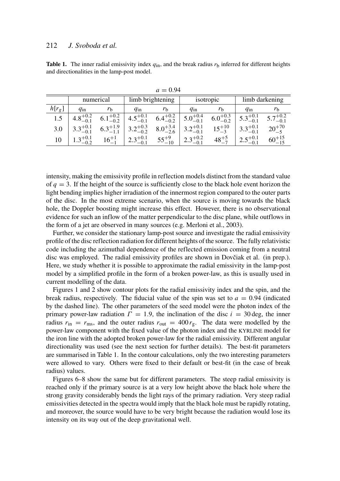**Table 1.** The inner radial emissivity index  $q_{in}$ , and the break radius  $r_b$  inferred for different heights and directionalities in the lamp-post model.

|          | numerical           |                     | limb brightening    |                     | isotropic           |                     | limb darkening      |                     |
|----------|---------------------|---------------------|---------------------|---------------------|---------------------|---------------------|---------------------|---------------------|
| $h[r_g]$ | $q_{\rm in}$        | $r_{\rm h}$         | $q_{\rm in}$        | $r_{\rm h}$         | $q_{\rm in}$        | $\mathbf{r}_h$      | $q_{\rm in}$        | $r_{\rm h}$         |
| 1.5      | $+0.2$              | $6.1^{+0.2}_{-0.2}$ | $4.5^{+0.1}_{-0.1}$ | $6.4^{+0.2}_{-0.2}$ | $5.0^{+0.4}_{-0.1}$ | $6.0^{+0.3}_{-0.2}$ | $5.3^{+0.1}_{-0.1}$ | $5.7^{+0.2}_{-0.1}$ |
| 3.0      | $3.3^{+0.1}_{-0.1}$ | $6.3^{+1.9}_{-1.1}$ | $3.2^{+0.3}_{-0.2}$ | $8.0^{+3.4}_{-2.6}$ | $3.2^{+0.1}_{-0.1}$ | $15^{+10}_{-3}$     | $3.3^{+0.1}_{-0.1}$ | $20^{+70}_{-5}$     |
| 10       | $2+0.1$             | $16^{-1}_{-1}$      | $2.3^{+0.1}_{-0.1}$ | $55^{+9}_{-10}$     | $2.3^{+0.2}_{-0.1}$ | $48^{+5}_{-7}$      | $2.5^{+0.1}_{-0.1}$ | $60^{+15}_{-15}$    |

 $a = 0.94$ 

intensity, making the emissivity profile in reflection models distinct from the standard value of  $q = 3$ . If the height of the source is sufficiently close to the black hole event horizon the light bending implies higher irradiation of the innermost region compared to the outer parts of the disc. In the most extreme scenario, when the source is moving towards the black hole, the Doppler boosting might increase this effect. However, there is no observational evidence for such an inflow of the matter perpendicular to the disc plane, while outflows in the form of a jet are observed in many sources (e.g. Merloni et al., 2003).

Further, we consider the stationary lamp-post source and investigate the radial emissivity profile of the disc reflection radiation for different heights of the source. The fully relativistic code including the azimuthal dependence of the reflected emission coming from a neutral disc was employed. The radial emissivity profiles are shown in Dovčiak et al. (in prep.). Here, we study whether it is possible to approximate the radial emissivity in the lamp-post model by a simplified profile in the form of a broken power-law, as this is usually used in current modelling of the data.

Figures 1 and 2 show contour plots for the radial emissivity index and the spin, and the break radius, respectively. The fiducial value of the spin was set to  $a = 0.94$  (indicated by the dashed line). The other parameters of the seed model were the photon index of the primary power-law radiation  $\Gamma = 1.9$ , the inclination of the disc  $i = 30 \text{ deg}$ , the inner radius  $r_{\text{in}} = r_{\text{ms}}$ , and the outer radius  $r_{\text{out}} = 400 r_{\text{g}}$ . The data were modelled by the power-law component with the fixed value of the photon index and the KYRLINE model for the iron line with the adopted broken power-law for the radial emissivity. Different angular directionality was used (see the next section for further details). The best-fit parameters are summarised in Table 1. In the contour calculations, only the two interesting parameters were allowed to vary. Others were fixed to their default or best-fit (in the case of break radius) values.

Figures 6–8 show the same but for different parameters. The steep radial emissivity is reached only if the primary source is at a very low height above the black hole where the strong gravity considerably bends the light rays of the primary radiation. Very steep radial emissivities detected in the spectra would imply that the black hole must be rapidly rotating, and moreover, the source would have to be very bright because the radiation would lose its intensity on its way out of the deep gravitational well.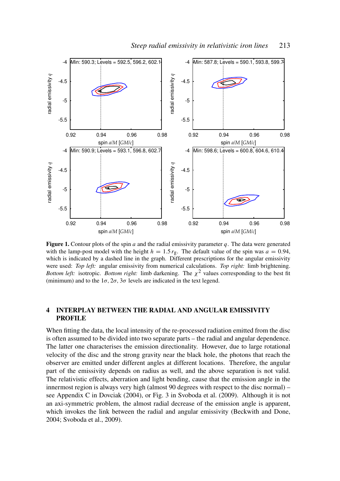

**Figure 1.** Contour plots of the spin  $a$  and the radial emissivity parameter  $q$ . The data were generated with the lamp-post model with the height  $h = 1.5 r<sub>g</sub>$ . The default value of the spin was  $a = 0.94$ , which is indicated by a dashed line in the graph. Different prescriptions for the angular emissivity were used: *Top left:* angular emissivity from numerical calculations. *Top right:* limb brightening. *Bottom left:* isotropic. *Bottom right:* limb darkening. The  $\chi^2$  values corresponding to the best fit (minimum) and to the  $1\sigma$ ,  $2\sigma$ ,  $3\sigma$  levels are indicated in the text legend.

### 4 INTERPLAY BETWEEN THE RADIAL AND ANGULAR EMISSIVITY PROFILE

When fitting the data, the local intensity of the re-processed radiation emitted from the disc is often assumed to be divided into two separate parts – the radial and angular dependence. The latter one characterises the emission directionality. However, due to large rotational velocity of the disc and the strong gravity near the black hole, the photons that reach the observer are emitted under different angles at different locations. Therefore, the angular part of the emissivity depends on radius as well, and the above separation is not valid. The relativistic effects, aberration and light bending, cause that the emission angle in the innermost region is always very high (almost 90 degrees with respect to the disc normal) – see Appendix C in Dovciak (2004), or Fig. 3 in Svoboda et al. (2009). Although it is not an axi-symmetric problem, the almost radial decrease of the emission angle is apparent, which invokes the link between the radial and angular emissivity (Beckwith and Done, 2004; Svoboda et al., 2009).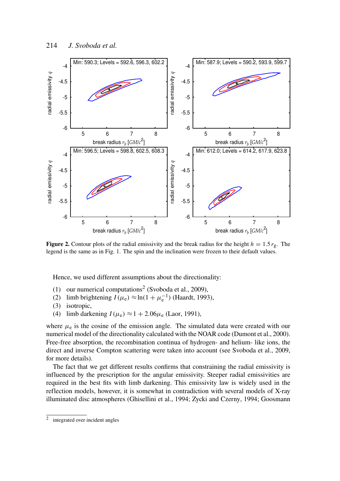

**Figure 2.** Contour plots of the radial emissivity and the break radius for the height  $h = 1.5 r_g$ . The legend is the same as in Fig. 1. The spin and the inclination were frozen to their default values.

Hence, we used different assumptions about the directionality:

- (1) our numerical computations<sup>2</sup> (Svoboda et al., 2009),
- (2) limb brightening  $I(\mu_e) \approx \ln(1 + \mu_e^{-1})$  (Haardt, 1993),
- (3) isotropic,
- (4) limb darkening  $I(\mu_e) \approx 1 + 2.06\mu_e$  (Laor, 1991),

where  $\mu_e$  is the cosine of the emission angle. The simulated data were created with our numerical model of the directionality calculated with the NOAR code (Dumont et al., 2000). Free-free absorption, the recombination continua of hydrogen- and helium- like ions, the direct and inverse Compton scattering were taken into account (see Svoboda et al., 2009, for more details).

The fact that we get different results confirms that constraining the radial emissivity is influenced by the prescription for the angular emissivity. Steeper radial emissivities are required in the best fits with limb darkening. This emissivity law is widely used in the reflection models, however, it is somewhat in contradiction with several models of X-ray illuminated disc atmospheres (Ghisellini et al., 1994; Zycki and Czerny, 1994; Goosmann

<sup>2</sup> integrated over incident angles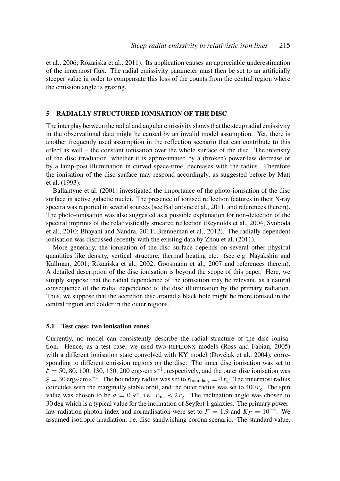et al., 2006; Różańska et al., 2011). Its application causes an appreciable underestimation of the innermost flux. The radial emissivity parameter must then be set to an artificially steeper value in order to compensate this loss of the counts from the central region where the emission angle is grazing.

#### 5 RADIALLY STRUCTURED IONISATION OF THE DISC

The interplay between the radial and angular emissivity shows that the steep radial emissivity in the observational data might be caused by an invalid model assumption. Yet, there is another frequently used assumption in the reflection scenario that can contribute to this effect as well – the constant ionisation over the whole surface of the disc. The intensity of the disc irradiation, whether it is approximated by a (broken) power-law decrease or by a lamp-post illumination in curved space-time, decreases with the radius. Therefore the ionisation of the disc surface may respond accordingly, as suggested before by Matt et al. (1993).

Ballantyne et al. (2001) investigated the importance of the photo-ionisation of the disc surface in active galactic nuclei. The presence of ionised reflection features in their X-ray spectra was reported in several sources (see Ballantyne et al., 2011, and references therein). The photo-ionisation was also suggested as a possible explanation for non-detection of the spectral imprints of the relativistically smeared reflection (Reynolds et al., 2004; Svoboda et al., 2010; Bhayani and Nandra, 2011; Brenneman et al., 2012). The radially dependent ionisation was discussed recently with the existing data by Zhou et al. (2011).

More generally, the ionisation of the disc surface depends on several other physical quantities like density, vertical structure, thermal heating etc. (see e.g. Nayakshin and Kallman, 2001; Różańska et al., 2002; Goosmann et al., 2007 and references therein). A detailed description of the disc ionisation is beyond the scope of this paper. Here, we simply suppose that the radial dependence of the ionisation may be relevant, as a natural consequence of the radial dependence of the disc illumination by the primary radiation. Thus, we suppose that the accretion disc around a black hole might be more ionised in the central region and colder in the outer regions.

#### 5.1 Test case: two ionisation zones

Currently, no model can consistently describe the radial structure of the disc ionisation. Hence, as a test case, we used two REFLIONX models (Ross and Fabian, 2005) with a different ionisation state convolved with KY model (Dovčiak et al., 2004), corresponding to different emission regions on the disc. The inner disc ionisation was set to  $\xi = 50, 80, 100, 130, 150, 200$  ergs·cm s<sup>-1</sup>, respectively, and the outer disc ionisation was  $\xi = 30 \text{ ergs} \cdot \text{cm s}^{-1}$ . The boundary radius was set to  $r_{\text{boundary}} = 4 r_{\text{g}}$ . The innermost radius coincides with the marginally stable orbit, and the outer radius was set to  $400 r_{\rm g}$ . The spin value was chosen to be  $a = 0.94$ , i.e.  $r_{\text{ms}} \approx 2 r_{\text{g}}$ . The inclination angle was chosen to 30 deg which is a typical value for the inclination of Seyfert 1 galaxies. The primary powerlaw radiation photon index and normalisation were set to  $\Gamma = 1.9$  and  $K_{\Gamma} = 10^{-3}$ . We assumed isotropic irradiation, i.e. disc-sandwiching corona scenario. The standard value,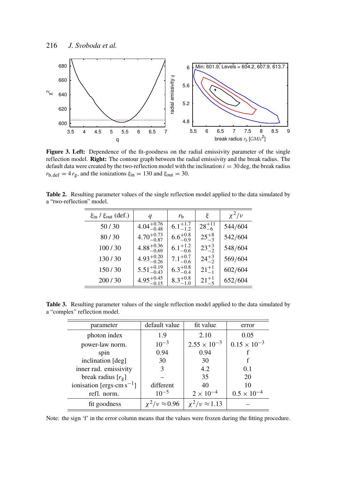

Figure 3. Left: Dependence of the fit-goodness on the radial emissivity parameter of the single reflection model. Right: The contour graph between the radial emissivity and the break radius. The default data were created by the two-reflection model with the inclination  $i = 30 \text{ deg}$ , the break radius  $r_{b,\text{def}} = 4 r_{g}$ , and the ionizations  $\xi_{in} = 130$  and  $\xi_{out} = 30$ .

| <b>Table 2.</b> Resulting parameter values of the single reflection model applied to the data simulated by |  |  |  |  |  |
|------------------------------------------------------------------------------------------------------------|--|--|--|--|--|
| a "two-reflection" model.                                                                                  |  |  |  |  |  |

| $\xi$ <sub>in</sub> / $\xi$ <sub>out</sub> (def.) | q                      | $r_{\rm b}$         | ξ               | $\chi^2/\nu$ |
|---------------------------------------------------|------------------------|---------------------|-----------------|--------------|
| 50/30                                             | $4.04^{+0.76}_{-0.48}$ | $6.1^{+1.7}_{-1.2}$ | $28^{+11}_{-6}$ | 544/604      |
| 80/30                                             | $4.70^{+0.73}_{-0.87}$ | $6.6^{+0.8}_{-0.9}$ | $25^{+8}_{-3}$  | 542/604      |
| 100/30                                            | $4.88^{+0.36}_{-0.69}$ | $6.1^{+1.2}_{-0.6}$ | $23^{+3}_{-2}$  | 548/604      |
| 130/30                                            | $4.93_{-0.26}^{+0.20}$ | $7.1_{-0.6}^{+0.7}$ | $24^{+3}_{-2}$  | 569/604      |
| 150/30                                            | $5.51_{-0.43}^{+0.19}$ | $6.3^{+0.8}_{-0.4}$ | $21^{+1}_{-1}$  | 602/604      |
| 200/30                                            | $4.95^{+0.45}_{-0.15}$ | $8.3^{+0.8}_{-1.0}$ | $21^{+1}_{-5}$  | 652/604      |

Table 3. Resulting parameter values of the single reflection model applied to the data simulated by a "complex" reflection model.

| parameter                      | default value             | fit value             | error                 |  |
|--------------------------------|---------------------------|-----------------------|-----------------------|--|
| photon index                   | 1.9                       | 2.10                  | 0.05                  |  |
| power-law norm.                | $10^{-3}$                 | $2.55 \times 10^{-3}$ | $0.15 \times 10^{-3}$ |  |
| spin                           | 0.94                      | 0.94                  |                       |  |
| inclination [deg]              | 30                        | 30                    |                       |  |
| inner rad. emissivity          | 3                         | 4.2                   | 0.1                   |  |
| break radius $[r_g]$           |                           | 35                    | 20                    |  |
| ionisation [ergs·cm $s^{-1}$ ] | different                 | 40                    | 10                    |  |
| refl. norm.                    | $10^{-5}$                 | $2 \times 10^{-4}$    | $0.5 \times 10^{-4}$  |  |
| fit goodness                   | $\chi^2/\nu \approx 0.96$ | $v^2/v \approx 1.13$  |                       |  |

Note: the sign 'f' in the error column means that the values were frozen during the fitting procedure.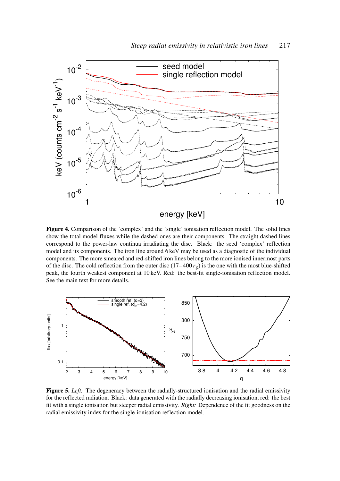

Figure 4. Comparison of the 'complex' and the 'single' ionisation reflection model. The solid lines show the total model fluxes while the dashed ones are their components. The straight dashed lines correspond to the power-law continua irradiating the disc. Black: the seed 'complex' reflection model and its components. The iron line around 6 keV may be used as a diagnostic of the individual components. The more smeared and red-shifted iron lines belong to the more ionised innermost parts of the disc. The cold reflection from the outer disc (17– 400 *r*g) is the one with the most blue-shifted peak, the fourth weakest component at 10 keV. Red: the best-fit single-ionisation reflection model. See the main text for more details.



Figure 5. *Left:* The degeneracy between the radially-structured ionisation and the radial emissivity for the reflected radiation. Black: data generated with the radially decreasing ionisation, red: the best fit with a single ionisation but steeper radial emissivity. *Right:* Dependence of the fit goodness on the radial emissivity index for the single-ionisation reflection model.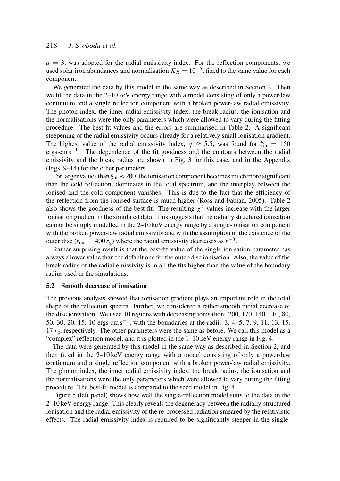$q = 3$ , was adopted for the radial emissivity index. For the reflection components, we used solar iron abundances and normalisation  $K_R = 10^{-5}$ , fixed to the same value for each component.

We generated the data by this model in the same way as described in Section 2. Then we fit the data in the 2–10 keV energy range with a model consisting of only a power-law continuum and a single reflection component with a broken power-law radial emissivity. The photon index, the inner radial emissivity index, the break radius, the ionisation and the normalisations were the only parameters which were allowed to vary during the fitting procedure. The best-fit values and the errors are summarised in Table 2. A significant steepening of the radial emissivity occurs already for a relatively small ionisation gradient. The highest value of the radial emissivity index,  $q \approx 5.5$ , was found for  $\xi_{\text{in}} = 150$ ergs·cm s<sup>-1</sup>. The dependence of the fit goodness and the contours between the radial emissivity and the break radius are shown in Fig. 3 for this case, and in the Appendix (Figs. 9–14) for the other parameters.

For larger values than  $\xi_{\text{in}} \approx 200$ , the ionisation component becomes much more significant than the cold reflection, dominates in the total spectrum, and the interplay between the ionised and the cold component vanishes. This is due to the fact that the efficiency of the reflection from the ionised surface is much higher (Ross and Fabian, 2005). Table 2 also shows the goodness of the best fit. The resulting  $\chi^2$ -values increase with the larger ionisation gradient in the simulated data. This suggests that the radially structured ionisation cannot be simply modelled in the 2–10 keV energy range by a single-ionisation component with the broken power-law radial emissivity and with the assumption of the existence of the outer disc ( $r_{\text{out}} = 400 r_{\text{g}}$ ) where the radial emissivity decreases as  $r^{-3}$ .

Rather surprising result is that the best-fit value of the single ionisation parameter has always a lower value than the default one for the outer-disc ionisation. Also, the value of the break radius of the radial emissivity is in all the fits higher than the value of the boundary radius used in the simulations.

#### 5.2 Smooth decrease of ionisation

The previous analysis showed that ionisation gradient plays an important role in the total shape of the reflection spectra. Further, we considered a rather smooth radial decrease of the disc ionisation. We used 10 regions with decreasing ionisation: 200, 170, 140, 110, 80, 50, 30, 20, 15, 10 ergs⋅cm s<sup>-1</sup>, with the boundaries at the radii: 3, 4, 5, 7, 9, 11, 13, 15, 17  $r_g$ , respectively. The other parameters were the same as before. We call this model as a "complex" reflection model, and it is plotted in the 1–10 keV energy range in Fig. 4.

The data were generated by this model in the same way as described in Section 2, and then fitted in the 2–10 keV energy range with a model consisting of only a power-law continuum and a single reflection component with a broken power-law radial emissivity. The photon index, the inner radial emissivity index, the break radius, the ionisation and the normalisations were the only parameters which were allowed to vary during the fitting procedure. The best-fit model is compared to the seed model in Fig. 4.

Figure 5 (left panel) shows how well the single-reflection model suits to the data in the 2–10 keV energy range. This clearly reveals the degeneracy between the radially-structured ionisation and the radial emissivity of the re-processed radiation smeared by the relativistic effects. The radial emissivity index is required to be significantly steeper in the single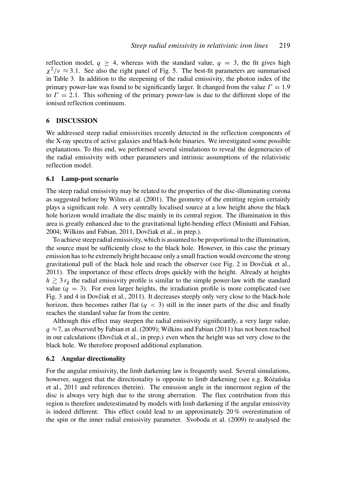reflection model,  $q \geq 4$ , whereas with the standard value,  $q = 3$ , the fit gives high  $\chi^2/\nu \approx 3.1$ . See also the right panel of Fig. 5. The best-fit parameters are summarised in Table 3. In addition to the steepening of the radial emissivity, the photon index of the primary power-law was found to be significantly larger. It changed from the value  $\Gamma = 1.9$ to  $\Gamma = 2.1$ . This softening of the primary power-law is due to the different slope of the ionised reflection continuum.

#### 6 DISCUSSION

We addressed steep radial emissivities recently detected in the reflection components of the X-ray spectra of active galaxies and black-hole binaries. We investigated some possible explanations. To this end, we performed several simulations to reveal the degeneracies of the radial emissivity with other parameters and intrinsic assumptions of the relativistic reflection model.

#### 6.1 Lamp-post scenario

The steep radial emissivity may be related to the properties of the disc-illuminating corona as suggested before by Wilms et al. (2001). The geometry of the emitting region certainly plays a significant role. A very centrally localised source at a low height above the black hole horizon would irradiate the disc mainly in its central region. The illumination in this area is greatly enhanced due to the gravitational light-bending effect (Miniutti and Fabian, 2004; Wilkins and Fabian, 2011, Dovčiak et al., in prep.).

To achieve steep radial emissivity, which is assumed to be proportional to the illumination, the source must be sufficiently close to the black hole. However, in this case the primary emission has to be extremely bright because only a small fraction would overcome the strong gravitational pull of the black hole and reach the observer (see Fig. 2 in Dovčiak et al., 2011). The importance of these effects drops quickly with the height. Already at heights  $h \gtrsim 3 r_{\rm g}$  the radial emissivity profile is similar to the simple power-law with the standard value  $(q = 3)$ . For even larger heights, the irradiation profile is more complicated (see Fig. 3 and 4 in Dovčiak et al., 2011). It decreases steeply only very close to the black-hole horizon, then becomes rather flat  $(q < 3)$  still in the inner parts of the disc and finally reaches the standard value far from the centre.

Although this effect may steepen the radial emissivity significantly, a very large value,  $q \approx 7$ , as observed by Fabian et al. (2009); Wilkins and Fabian (2011) has not been reached in our calculations (Dovčiak et al., in prep.) even when the height was set very close to the black hole. We therefore proposed additional explanation.

#### 6.2 Angular directionality

For the angular emissivity, the limb darkening law is frequently used. Several simulations, however, suggest that the directionality is opposite to limb darkening (see e.g. Różańska et al., 2011 and references therein). The emission angle in the innermost region of the disc is always very high due to the strong aberration. The flux contribution from this region is therefore underestimated by models with limb darkening if the angular emissivity is indeed different. This effect could lead to an approximately 20 % overestimation of the spin or the inner radial emissivity parameter. Svoboda et al. (2009) re-analysed the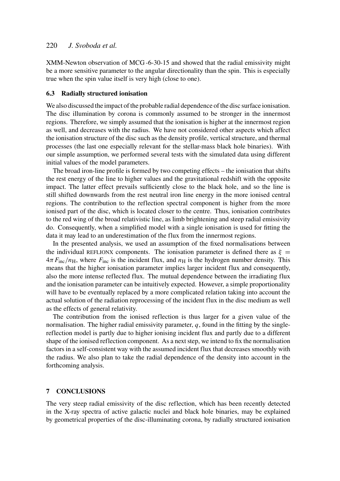XMM-Newton observation of MCG -6-30-15 and showed that the radial emissivity might be a more sensitive parameter to the angular directionality than the spin. This is especially true when the spin value itself is very high (close to one).

# 6.3 Radially structured ionisation

We also discussed the impact of the probable radial dependence of the disc surface ionisation. The disc illumination by corona is commonly assumed to be stronger in the innermost regions. Therefore, we simply assumed that the ionisation is higher at the innermost region as well, and decreases with the radius. We have not considered other aspects which affect the ionisation structure of the disc such as the density profile, vertical structure, and thermal processes (the last one especially relevant for the stellar-mass black hole binaries). With our simple assumption, we performed several tests with the simulated data using different initial values of the model parameters.

The broad iron-line profile is formed by two competing effects – the ionisation that shifts the rest energy of the line to higher values and the gravitational redshift with the opposite impact. The latter effect prevails sufficiently close to the black hole, and so the line is still shifted downwards from the rest neutral iron line energy in the more ionised central regions. The contribution to the reflection spectral component is higher from the more ionised part of the disc, which is located closer to the centre. Thus, ionisation contributes to the red wing of the broad relativistic line, as limb brightening and steep radial emissivity do. Consequently, when a simplified model with a single ionisation is used for fitting the data it may lead to an underestimation of the flux from the innermost regions.

In the presented analysis, we used an assumption of the fixed normalisations between the individual REFLIONX components. The ionisation parameter is defined there as  $\xi =$  $4\pi F_{\text{inc}}/n_{\text{H}}$ , where  $F_{\text{inc}}$  is the incident flux, and  $n_{\text{H}}$  is the hydrogen number density. This means that the higher ionisation parameter implies larger incident flux and consequently, also the more intense reflected flux. The mutual dependence between the irradiating flux and the ionisation parameter can be intuitively expected. However, a simple proportionality will have to be eventually replaced by a more complicated relation taking into account the actual solution of the radiation reprocessing of the incident flux in the disc medium as well as the effects of general relativity.

The contribution from the ionised reflection is thus larger for a given value of the normalisation. The higher radial emissivity parameter, *q*, found in the fitting by the singlereflection model is partly due to higher ionising incident flux and partly due to a different shape of the ionised reflection component. As a next step, we intend to fix the normalisation factors in a self-consistent way with the assumed incident flux that decreases smoothly with the radius. We also plan to take the radial dependence of the density into account in the forthcoming analysis.

#### 7 CONCLUSIONS

The very steep radial emissivity of the disc reflection, which has been recently detected in the X-ray spectra of active galactic nuclei and black hole binaries, may be explained by geometrical properties of the disc-illuminating corona, by radially structured ionisation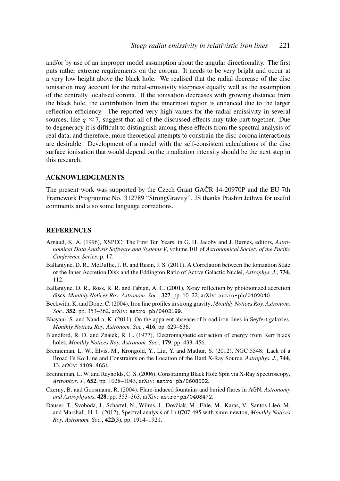and/or by use of an improper model assumption about the angular directionality. The first puts rather extreme requirements on the corona. It needs to be very bright and occur at a very low height above the black hole. We realised that the radial decrease of the disc ionisation may account for the radial-emissivity steepness equally well as the assumption of the centrally localised corona. If the ionisation decreases with growing distance from the black hole, the contribution from the innermost region is enhanced due to the larger reflection efficiency. The reported very high values for the radial emissivity in several sources, like  $q \approx 7$ , suggest that all of the discussed effects may take part together. Due to degeneracy it is difficult to distinguish among these effects from the spectral analysis of real data, and therefore, more theoretical attempts to constrain the disc-corona interactions are desirable. Development of a model with the self-consistent calculations of the disc surface ionisation that would depend on the irradiation intensity should be the next step in this research.

#### ACKNOWLEDGEMENTS

The present work was supported by the Czech Grant GAČR 14-20970P and the EU 7th Framework Programme No. 312789 "StrongGravity". JS thanks Prashin Jethwa for useful comments and also some language corrections.

#### **REFERENCES**

- Arnaud, K. A. (1996), XSPEC: The First Ten Years, in G. H. Jacoby and J. Barnes, editors, *Astronomical Data Analysis Software and Systems V*, volume 101 of *Astronomical Society of the Pacific Conference Series*, p. 17.
- Ballantyne, D. R., McDuffie, J. R. and Rusin, J. S. (2011), A Correlation between the Ionization State of the Inner Accretion Disk and the Eddington Ratio of Active Galactic Nuclei, *Astrophys. J.*, 734, 112.
- Ballantyne, D. R., Ross, R. R. and Fabian, A. C. (2001), X-ray reflection by photoionized accretion discs, *Monthly Notices Roy. Astronom. Soc.*, 327, pp. 10–22, arXiv: astro-ph/0102040.
- Beckwith, K. and Done, C. (2004), Iron line profiles in strong gravity, *Monthly Notices Roy. Astronom. Soc.*, 352, pp. 353–362, arXiv: astro-ph/0402199.
- Bhayani, S. and Nandra, K. (2011), On the apparent absence of broad iron lines in Seyfert galaxies, *Monthly Notices Roy. Astronom. Soc.*, 416, pp. 629–636.
- Blandford, R. D. and Znajek, R. L. (1977), Electromagnetic extraction of energy from Kerr black holes, *Monthly Notices Roy. Astronom. Soc.*, 179, pp. 433–456.
- Brenneman, L. W., Elvis, M., Krongold, Y., Liu, Y. and Mathur, S. (2012), NGC 5548: Lack of a Broad Fe Kα Line and Constraints on the Location of the Hard X-Ray Source, *Astrophys. J.*, 744, 13, arXiv: 1109.4651.
- Brenneman, L. W. and Reynolds, C. S. (2006), Constraining Black Hole Spin via X-Ray Spectroscopy, *Astrophys. J.*, 652, pp. 1028–1043, arXiv: astro-ph/0608502.
- Czerny, B. and Goosmann, R. (2004), Flare-induced fountains and buried flares in AGN, *Astronomy and Astrophysics*, 428, pp. 353–363, arXiv: astro-ph/0408472.
- Dauser, T., Svoboda, J., Schartel, N., Wilms, J., Dovčiak, M., Ehle, M., Karas, V., Santos-Lleó, M. and Marshall, H. L. (2012), Spectral analysis of 1h 0707-495 with xmm-newton, *Monthly Notices Roy. Astronom. Soc.*, 422(3), pp. 1914–1921.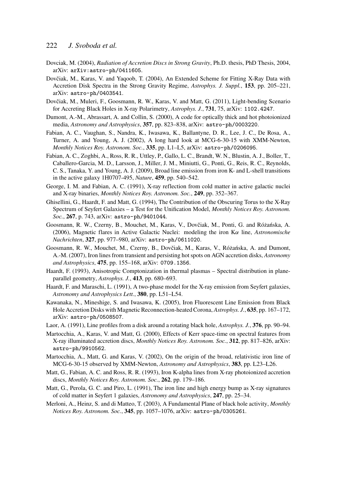- Dovciak, M. (2004), *Radiation of Accretion Discs in Strong Gravity*, Ph.D. thesis, PhD Thesis, 2004, arXiv: arXiv:astro-ph/0411605.
- Dovčiak, M., Karas, V. and Yaqoob, T. (2004), An Extended Scheme for Fitting X-Ray Data with Accretion Disk Spectra in the Strong Gravity Regime, *Astrophys. J. Suppl.*, 153, pp. 205–221, arXiv: astro-ph/0403541.
- Dovčiak, M., Muleri, F., Goosmann, R. W., Karas, V. and Matt, G. (2011), Light-bending Scenario for Accreting Black Holes in X-ray Polarimetry, *Astrophys. J.*, 731, 75, arXiv: 1102.4247.
- Dumont, A.-M., Abrassart, A. and Collin, S. (2000), A code for optically thick and hot photoionized media, *Astronomy and Astrophysics*, 357, pp. 823–838, arXiv: astro-ph/0003220.
- Fabian, A. C., Vaughan, S., Nandra, K., Iwasawa, K., Ballantyne, D. R., Lee, J. C., De Rosa, A., Turner, A. and Young, A. J. (2002), A long hard look at MCG-6-30-15 with XMM-Newton, *Monthly Notices Roy. Astronom. Soc.*, 335, pp. L1–L5, arXiv: astro-ph/0206095.
- Fabian, A. C., Zoghbi, A., Ross, R. R., Uttley, P., Gallo, L. C., Brandt, W. N., Blustin, A. J., Boller, T., Caballero-Garcia, M. D., Larsson, J., Miller, J. M., Miniutti, G., Ponti, G., Reis, R. C., Reynolds, C. S., Tanaka, Y. and Young, A. J. (2009), Broad line emission from iron K- and L-shell transitions in the active galaxy 1H0707-495, *Nature*, 459, pp. 540–542.
- George, I. M. and Fabian, A. C. (1991), X-ray reflection from cold matter in active galactic nuclei and X-ray binaries, *Monthly Notices Roy. Astronom. Soc.*, 249, pp. 352–367.
- Ghisellini, G., Haardt, F. and Matt, G. (1994), The Contribution of the Obscuring Torus to the X-Ray Spectrum of Seyfert Galaxies – a Test for the Unification Model, *Monthly Notices Roy. Astronom. Soc.*, 267, p. 743, arXiv: astro-ph/9401044.
- Goosmann, R. W., Czerny, B., Mouchet, M., Karas, V., Dovčiak, M., Ponti, G. and Różańska, A. (2006), Magnetic flares in Active Galactic Nuclei: modeling the iron Kα line, *Astronomische Nachrichten*, 327, pp. 977–980, arXiv: astro-ph/0611020.
- Goosmann, R. W., Mouchet, M., Czerny, B., Dovčiak, M., Karas, V., Różańska, A. and Dumont, A.-M. (2007), Iron lines from transient and persisting hot spots on AGN accretion disks, *Astronomy and Astrophysics*, 475, pp. 155–168, arXiv: 0709.1356.
- Haardt, F. (1993), Anisotropic Comptonization in thermal plasmas Spectral distribution in planeparallel geometry, *Astrophys. J.*, 413, pp. 680–693.
- Haardt, F. and Maraschi, L. (1991), A two-phase model for the X-ray emission from Seyfert galaxies, *Astronomy and Astrophysics Lett.*, 380, pp. L51–L54.
- Kawanaka, N., Mineshige, S. and Iwasawa, K. (2005), Iron Fluorescent Line Emission from Black Hole Accretion Disks with Magnetic Reconnection-heated Corona, *Astrophys. J.*, 635, pp. 167–172, arXiv: astro-ph/0508507.
- Laor, A. (1991), Line profiles from a disk around a rotating black hole, *Astrophys. J.*, 376, pp. 90–94.
- Martocchia, A., Karas, V. and Matt, G. (2000), Effects of Kerr space-time on spectral features from X-ray illuminated accretion discs, *Monthly Notices Roy. Astronom. Soc.*, 312, pp. 817–826, arXiv: astro-ph/9910562.
- Martocchia, A., Matt, G. and Karas, V. (2002), On the origin of the broad, relativistic iron line of MCG-6-30-15 observed by XMM-Newton, *Astronomy and Astrophysics*, 383, pp. L23–L26.
- Matt, G., Fabian, A. C. and Ross, R. R. (1993), Iron K-alpha lines from X-ray photoionized accretion discs, *Monthly Notices Roy. Astronom. Soc.*, 262, pp. 179–186.
- Matt, G., Perola, G. C. and Piro, L. (1991), The iron line and high energy bump as X-ray signatures of cold matter in Seyfert 1 galaxies, *Astronomy and Astrophysics*, 247, pp. 25–34.
- Merloni, A., Heinz, S. and di Matteo, T. (2003), A Fundamental Plane of black hole activity, *Monthly Notices Roy. Astronom. Soc.*, 345, pp. 1057–1076, arXiv: astro-ph/0305261.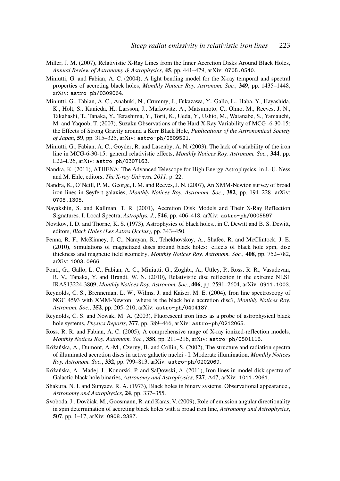- Miller, J. M. (2007), Relativistic X-Ray Lines from the Inner Accretion Disks Around Black Holes, *Annual Review of Astronomy & Astrophysics*, 45, pp. 441–479, arXiv: 0705.0540.
- Miniutti, G. and Fabian, A. C. (2004), A light bending model for the X-ray temporal and spectral properties of accreting black holes, *Monthly Notices Roy. Astronom. Soc.*, 349, pp. 1435–1448, arXiv: astro-ph/0309064.
- Miniutti, G., Fabian, A. C., Anabuki, N., Crummy, J., Fukazawa, Y., Gallo, L., Haba, Y., Hayashida, K., Holt, S., Kunieda, H., Larsson, J., Markowitz, A., Matsumoto, C., Ohno, M., Reeves, J. N., Takahashi, T., Tanaka, Y., Terashima, Y., Torii, K., Ueda, Y., Ushio, M., Watanabe, S., Yamauchi, M. and Yaqoob, T. (2007), Suzaku Observations of the Hard X-Ray Variability of MCG -6-30-15: the Effects of Strong Gravity around a Kerr Black Hole, *Publications of the Astronomical Society of Japan*, 59, pp. 315–325, arXiv: astro-ph/0609521.
- Miniutti, G., Fabian, A. C., Goyder, R. and Lasenby, A. N. (2003), The lack of variability of the iron line in MCG-6-30-15: general relativistic effects, *Monthly Notices Roy. Astronom. Soc.*, 344, pp. L22–L26, arXiv: astro-ph/0307163.
- Nandra, K. (2011), ATHENA: The Advanced Telescope for High Energy Astrophysics, in J.-U. Ness and M. Ehle, editors, *The X-ray Universe 2011*, p. 22.
- Nandra, K., O'Neill, P. M., George, I. M. and Reeves, J. N. (2007), An XMM-Newton survey of broad iron lines in Seyfert galaxies, *Monthly Notices Roy. Astronom. Soc.*, 382, pp. 194–228, arXiv: 0708.1305.
- Nayakshin, S. and Kallman, T. R. (2001), Accretion Disk Models and Their X-Ray Reflection Signatures. I. Local Spectra, *Astrophys. J.*, 546, pp. 406–418, arXiv: astro-ph/0005597.
- Novikov, I. D. and Thorne, K. S. (1973), Astrophysics of black holes., in C. Dewitt and B. S. Dewitt, editors, *Black Holes (Les Astres Occlus)*, pp. 343–450.
- Penna, R. F., McKinney, J. C., Narayan, R., Tchekhovskoy, A., Shafee, R. and McClintock, J. E. (2010), Simulations of magnetized discs around black holes: effects of black hole spin, disc thickness and magnetic field geometry, *Monthly Notices Roy. Astronom. Soc.*, 408, pp. 752–782, arXiv: 1003.0966.
- Ponti, G., Gallo, L. C., Fabian, A. C., Miniutti, G., Zoghbi, A., Uttley, P., Ross, R. R., Vasudevan, R. V., Tanaka, Y. and Brandt, W. N. (2010), Relativistic disc reflection in the extreme NLS1 IRAS13224-3809, *Monthly Notices Roy. Astronom. Soc.*, 406, pp. 2591–2604, arXiv: 0911.1003.
- Reynolds, C. S., Brenneman, L. W., Wilms, J. and Kaiser, M. E. (2004), Iron line spectroscopy of NGC 4593 with XMM-Newton: where is the black hole accretion disc?, *Monthly Notices Roy. Astronom. Soc.*, 352, pp. 205–210, arXiv: astro-ph/0404187.
- Reynolds, C. S. and Nowak, M. A. (2003), Fluorescent iron lines as a probe of astrophysical black hole systems, *Physics Reports*, 377, pp. 389–466, arXiv: astro-ph/0212065.
- Ross, R. R. and Fabian, A. C. (2005), A comprehensive range of X-ray ionized-reflection models, *Monthly Notices Roy. Astronom. Soc.*, 358, pp. 211–216, arXiv: astro-ph/0501116.
- Różańska, A., Dumont, A.-M., Czerny, B. and Collin, S. (2002). The structure and radiation spectra of illuminated accretion discs in active galactic nuclei - I. Moderate illumination, *Monthly Notices Roy. Astronom. Soc.*, 332, pp. 799–813, arXiv: astro-ph/0202069.
- Różańska, A., Madej, J., Konorski, P. and SaDowski, A. (2011), Iron lines in model disk spectra of Galactic black hole binaries, *Astronomy and Astrophysics*, 527, A47, arXiv: 1011.2061.
- Shakura, N. I. and Sunyaev, R. A. (1973), Black holes in binary systems. Observational appearance., *Astronomy and Astrophysics*, 24, pp. 337–355.
- Svoboda, J., Dovčiak, M., Goosmann, R. and Karas, V. (2009), Role of emission angular directionality in spin determination of accreting black holes with a broad iron line, *Astronomy and Astrophysics*, 507, pp. 1–17, arXiv: 0908.2387.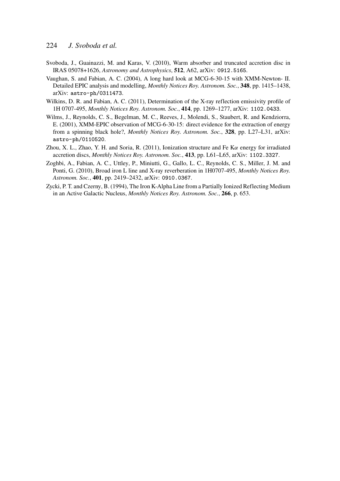- Svoboda, J., Guainazzi, M. and Karas, V. (2010), Warm absorber and truncated accretion disc in IRAS 05078+1626, *Astronomy and Astrophysics*, 512, A62, arXiv: 0912.5165.
- Vaughan, S. and Fabian, A. C. (2004), A long hard look at MCG-6-30-15 with XMM-Newton- II. Detailed EPIC analysis and modelling, *Monthly Notices Roy. Astronom. Soc.*, 348, pp. 1415–1438, arXiv: astro-ph/0311473.
- Wilkins, D. R. and Fabian, A. C. (2011), Determination of the X-ray reflection emissivity profile of 1H 0707-495, *Monthly Notices Roy. Astronom. Soc.*, 414, pp. 1269–1277, arXiv: 1102.0433.
- Wilms, J., Reynolds, C. S., Begelman, M. C., Reeves, J., Molendi, S., Staubert, R. and Kendziorra, E. (2001), XMM-EPIC observation of MCG-6-30-15: direct evidence for the extraction of energy from a spinning black hole?, *Monthly Notices Roy. Astronom. Soc.*, 328, pp. L27–L31, arXiv: astro-ph/0110520.
- Zhou, X. L., Zhao, Y. H. and Soria, R. (2011), Ionization structure and Fe K $\alpha$  energy for irradiated accretion discs, *Monthly Notices Roy. Astronom. Soc.*, 413, pp. L61–L65, arXiv: 1102.3327.
- Zoghbi, A., Fabian, A. C., Uttley, P., Miniutti, G., Gallo, L. C., Reynolds, C. S., Miller, J. M. and Ponti, G. (2010), Broad iron L line and X-ray reverberation in 1H0707-495, *Monthly Notices Roy. Astronom. Soc.*, 401, pp. 2419–2432, arXiv: 0910.0367.
- Zycki, P. T. and Czerny, B. (1994), The Iron K-Alpha Line from a Partially Ionized Reflecting Medium in an Active Galactic Nucleus, *Monthly Notices Roy. Astronom. Soc.*, 266, p. 653.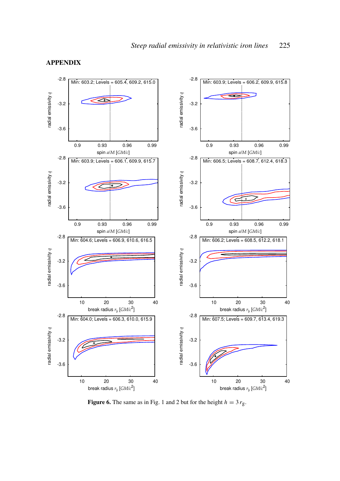

# APPENDIX

Figure 6. The same as in Fig. 1 and 2 but for the height  $h = 3 r_g$ .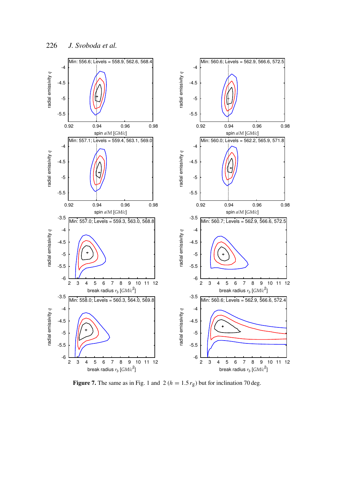

Figure 7. The same as in Fig. 1 and 2 ( $h = 1.5 r_g$ ) but for inclination 70 deg.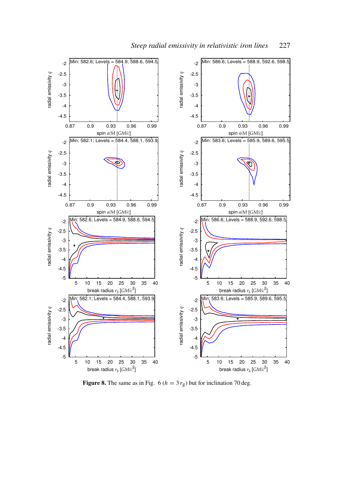

Figure 8. The same as in Fig. 6 ( $h = 3 r_g$ ) but for inclination 70 deg.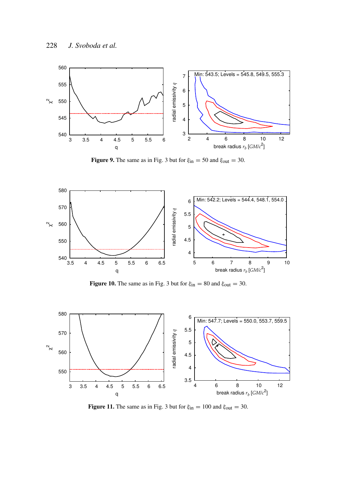

Figure 9. The same as in Fig. 3 but for  $\xi_{in} = 50$  and  $\xi_{out} = 30$ .



Figure 10. The same as in Fig. 3 but for  $\xi_{in} = 80$  and  $\xi_{out} = 30$ .



Figure 11. The same as in Fig. 3 but for  $\xi_{in} = 100$  and  $\xi_{out} = 30$ .